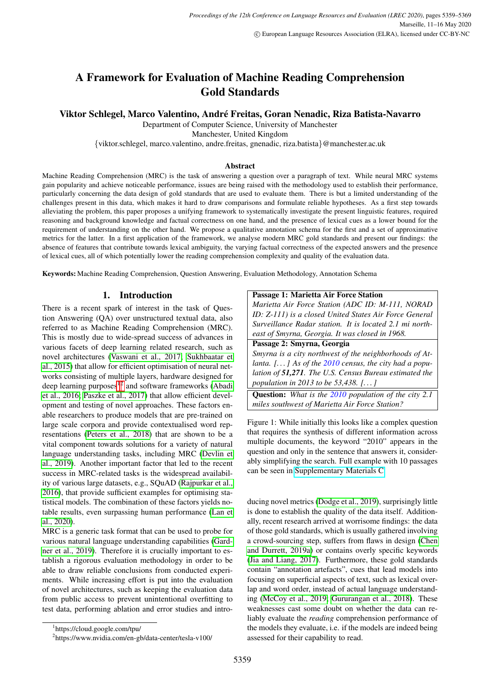# A Framework for Evaluation of Machine Reading Comprehension Gold Standards

### Viktor Schlegel, Marco Valentino, Andre Freitas, Goran Nenadic, Riza Batista-Navarro ´

Department of Computer Science, University of Manchester

Manchester, United Kingdom

{viktor.schlegel, marco.valentino, andre.freitas, gnenadic, riza.batista}@manchester.ac.uk

#### Abstract

Machine Reading Comprehension (MRC) is the task of answering a question over a paragraph of text. While neural MRC systems gain popularity and achieve noticeable performance, issues are being raised with the methodology used to establish their performance, particularly concerning the data design of gold standards that are used to evaluate them. There is but a limited understanding of the challenges present in this data, which makes it hard to draw comparisons and formulate reliable hypotheses. As a first step towards alleviating the problem, this paper proposes a unifying framework to systematically investigate the present linguistic features, required reasoning and background knowledge and factual correctness on one hand, and the presence of lexical cues as a lower bound for the requirement of understanding on the other hand. We propose a qualitative annotation schema for the first and a set of approximative metrics for the latter. In a first application of the framework, we analyse modern MRC gold standards and present our findings: the absence of features that contribute towards lexical ambiguity, the varying factual correctness of the expected answers and the presence of lexical cues, all of which potentially lower the reading comprehension complexity and quality of the evaluation data.

Keywords: Machine Reading Comprehension, Question Answering, Evaluation Methodology, Annotation Schema

#### 1. Introduction

There is a recent spark of interest in the task of Question Answering (QA) over unstructured textual data, also referred to as Machine Reading Comprehension (MRC). This is mostly due to wide-spread success of advances in various facets of deep learning related research, such as novel architectures [\(Vaswani et al., 2017;](#page-9-0) [Sukhbaatar et](#page-9-1) [al., 2015\)](#page-9-1) that allow for efficient optimisation of neural networks consisting of multiple layers, hardware designed for deep learning purposes $12$  $12$  and software frameworks [\(Abadi](#page-8-0) [et al., 2016;](#page-8-0) [Paszke et al., 2017\)](#page-9-2) that allow efficient development and testing of novel approaches. These factors enable researchers to produce models that are pre-trained on large scale corpora and provide contextualised word representations [\(Peters et al., 2018\)](#page-9-3) that are shown to be a vital component towards solutions for a variety of natural language understanding tasks, including MRC [\(Devlin et](#page-8-1) [al., 2019\)](#page-8-1). Another important factor that led to the recent success in MRC-related tasks is the widespread availability of various large datasets, e.g., SQuAD [\(Rajpurkar et al.,](#page-9-4) [2016\)](#page-9-4), that provide sufficient examples for optimising statistical models. The combination of these factors yields notable results, even surpassing human performance [\(Lan et](#page-8-2) [al., 2020\)](#page-8-2).

MRC is a generic task format that can be used to probe for various natural language understanding capabilities [\(Gard](#page-8-3)[ner et al., 2019\)](#page-8-3). Therefore it is crucially important to establish a rigorous evaluation methodology in order to be able to draw reliable conclusions from conducted experiments. While increasing effort is put into the evaluation of novel architectures, such as keeping the evaluation data from public access to prevent unintentional overfitting to test data, performing ablation and error studies and intro-

<span id="page-0-2"></span>

| Passage 1: Marietta Air Force Station                        |  |  |  |  |
|--------------------------------------------------------------|--|--|--|--|
| Marietta Air Force Station (ADC ID: M-111, NORAD             |  |  |  |  |
| ID: Z-111) is a closed United States Air Force General       |  |  |  |  |
| Surveillance Radar station. It is located 2.1 mi north-      |  |  |  |  |
| east of Smyrna, Georgia. It was closed in 1968.              |  |  |  |  |
| Passage 2: Smyrna, Georgia                                   |  |  |  |  |
| Smyrna is a city northwest of the neighborhoods of At-       |  |  |  |  |
| lanta. $[]$ As of the 2010 census, the city had a popu-      |  |  |  |  |
| lation of 51,271. The U.S. Census Bureau estimated the       |  |  |  |  |
| population in 2013 to be 53,438. []                          |  |  |  |  |
| <b>Question:</b> What is the 2010 population of the city 2.1 |  |  |  |  |
| miles southwest of Marietta Air Force Station?               |  |  |  |  |

Figure 1: While initially this looks like a complex question that requires the synthesis of different information across multiple documents, the keyword "2010" appears in the question and only in the sentence that answers it, considerably simplifying the search. Full example with 10 passages can be seen in [Supplementary Materials C.](https://github.com/schlevik/dataset-analysis/raw/master/Appendix%20C%20Introductory%20Example.pdf)

ducing novel metrics [\(Dodge et al., 2019\)](#page-8-4), surprisingly little is done to establish the quality of the data itself. Additionally, recent research arrived at worrisome findings: the data of those gold standards, which is usually gathered involving a crowd-sourcing step, suffers from flaws in design [\(Chen](#page-8-5) [and Durrett, 2019a\)](#page-8-5) or contains overly specific keywords [\(Jia and Liang, 2017\)](#page-8-6). Furthermore, these gold standards contain "annotation artefacts", cues that lead models into focusing on superficial aspects of text, such as lexical overlap and word order, instead of actual language understanding [\(McCoy et al., 2019;](#page-9-5) [Gururangan et al., 2018\)](#page-8-7). These weaknesses cast some doubt on whether the data can reliably evaluate the *reading* comprehension performance of the models they evaluate, i.e. if the models are indeed being assessed for their capability to read.

<span id="page-0-0"></span><sup>1</sup> https://cloud.google.com/tpu/

<span id="page-0-1"></span><sup>2</sup> https://www.nvidia.com/en-gb/data-center/tesla-v100/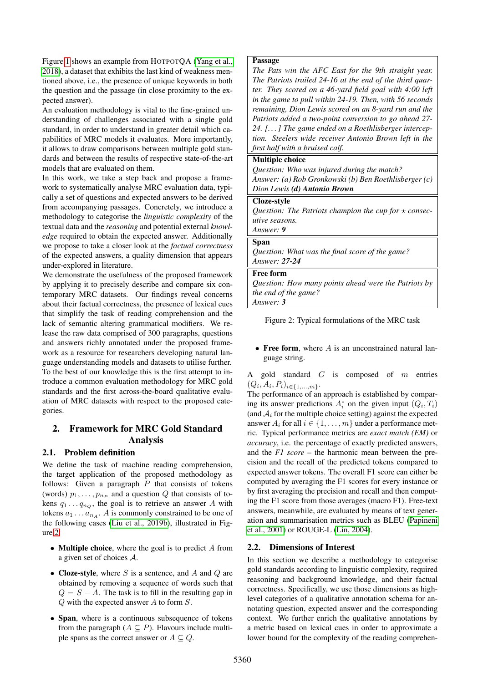Figure [1](#page-0-2) shows an example from HOTPOTQA [\(Yang et al.,](#page-9-6) [2018\)](#page-9-6), a dataset that exhibits the last kind of weakness mentioned above, i.e., the presence of unique keywords in both the question and the passage (in close proximity to the expected answer).

An evaluation methodology is vital to the fine-grained understanding of challenges associated with a single gold standard, in order to understand in greater detail which capabilities of MRC models it evaluates. More importantly, it allows to draw comparisons between multiple gold standards and between the results of respective state-of-the-art models that are evaluated on them.

In this work, we take a step back and propose a framework to systematically analyse MRC evaluation data, typically a set of questions and expected answers to be derived from accompanying passages. Concretely, we introduce a methodology to categorise the *linguistic complexity* of the textual data and the *reasoning* and potential external *knowledge* required to obtain the expected answer. Additionally we propose to take a closer look at the *factual correctness* of the expected answers, a quality dimension that appears under-explored in literature.

We demonstrate the usefulness of the proposed framework by applying it to precisely describe and compare six contemporary MRC datasets. Our findings reveal concerns about their factual correctness, the presence of lexical cues that simplify the task of reading comprehension and the lack of semantic altering grammatical modifiers. We release the raw data comprised of 300 paragraphs, questions and answers richly annotated under the proposed framework as a resource for researchers developing natural language understanding models and datasets to utilise further. To the best of our knowledge this is the first attempt to introduce a common evaluation methodology for MRC gold standards and the first across-the-board qualitative evaluation of MRC datasets with respect to the proposed categories.

# 2. Framework for MRC Gold Standard Analysis

#### <span id="page-1-1"></span>2.1. Problem definition

We define the task of machine reading comprehension, the target application of the proposed methodology as follows: Given a paragraph  $P$  that consists of tokens (words)  $p_1, \ldots, p_{n_P}$  and a question Q that consists of tokens  $q_1 \ldots q_{n_Q}$ , the goal is to retrieve an answer A with tokens  $a_1 \ldots a_{n_A}$ . A is commonly constrained to be one of the following cases [\(Liu et al., 2019b\)](#page-9-7), illustrated in Figure [2:](#page-1-0)

- Multiple choice, where the goal is to predict  $A$  from a given set of choices A.
- Cloze-style, where S is a sentence, and A and Q are obtained by removing a sequence of words such that  $Q = S - A$ . The task is to fill in the resulting gap in Q with the expected answer A to form S.
- Span, where is a continuous subsequence of tokens from the paragraph  $(A \subseteq P)$ . Flavours include multiple spans as the correct answer or  $A \subseteq Q$ .

#### <span id="page-1-0"></span>Passage

*The Pats win the AFC East for the 9th straight year. The Patriots trailed 24-16 at the end of the third quarter. They scored on a 46-yard field goal with 4:00 left in the game to pull within 24-19. Then, with 56 seconds remaining, Dion Lewis scored on an 8-yard run and the Patriots added a two-point conversion to go ahead 27- 24. [. . . ] The game ended on a Roethlisberger interception. Steelers wide receiver Antonio Brown left in the first half with a bruised calf.*

### Multiple choice

*Question: Who was injured during the match? Answer: (a) Rob Gronkowski (b) Ben Roethlisberger (c) Dion Lewis (d) Antonio Brown*

# Cloze-style

*Question: The Patriots champion the cup for*  $\star$  *consecutive seasons.*

#### *Answer: 9* Span

*Question: What was the final score of the game? Answer: 27-24*

#### Free form

*Question: How many points ahead were the Patriots by the end of the game? Answer: 3*

Figure 2: Typical formulations of the MRC task

• Free form, where  $A$  is an unconstrained natural language string.

A gold standard  $G$  is composed of  $m$  entries  $(Q_i, A_i, P_i)_{i \in \{1, ..., m\}}.$ 

The performance of an approach is established by comparing its answer predictions  $A_i^*$  on the given input  $(Q_i, T_i)$ (and  $A_i$  for the multiple choice setting) against the expected answer  $A_i$  for all  $i \in \{1, ..., m\}$  under a performance metric. Typical performance metrics are *exact match (EM)* or *accuracy*, i.e. the percentage of exactly predicted answers, and the *F1 score* – the harmonic mean between the precision and the recall of the predicted tokens compared to expected answer tokens. The overall F1 score can either be computed by averaging the F1 scores for every instance or by first averaging the precision and recall and then computing the F1 score from those averages (macro F1). Free-text answers, meanwhile, are evaluated by means of text generation and summarisation metrics such as BLEU [\(Papineni](#page-9-8) [et al., 2001\)](#page-9-8) or ROUGE-L [\(Lin, 2004\)](#page-8-8).

# <span id="page-1-2"></span>2.2. Dimensions of Interest

In this section we describe a methodology to categorise gold standards according to linguistic complexity, required reasoning and background knowledge, and their factual correctness. Specifically, we use those dimensions as highlevel categories of a qualitative annotation schema for annotating question, expected answer and the corresponding context. We further enrich the qualitative annotations by a metric based on lexical cues in order to approximate a lower bound for the complexity of the reading comprehen-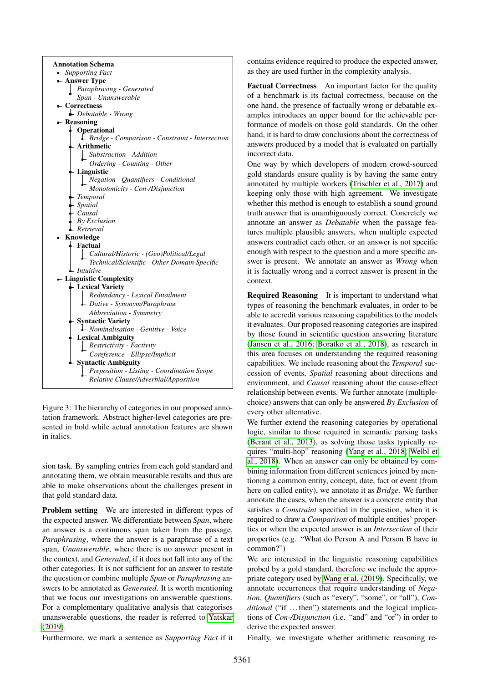<span id="page-2-0"></span>

Figure 3: The hierarchy of categories in our proposed annotation framework. Abstract higher-level categories are presented in bold while actual annotation features are shown in italics.

sion task. By sampling entries from each gold standard and annotating them, we obtain measurable results and thus are able to make observations about the challenges present in that gold standard data.

Problem setting We are interested in different types of the expected answer. We differentiate between *Span*, where an answer is a continuous span taken from the passage, *Paraphrasing*, where the answer is a paraphrase of a text span, *Unanswerable*, where there is no answer present in the context, and *Generated*, if it does not fall into any of the other categories. It is not sufficient for an answer to restate the question or combine multiple *Span* or *Paraphrasing* answers to be annotated as *Generated*. It is worth mentioning that we focus our investigations on answerable questions. For a complementary qualitative analysis that categorises unanswerable questions, the reader is referred to [Yatskar](#page-10-0) [\(2019\)](#page-10-0).

Furthermore, we mark a sentence as *Supporting Fact* if it

contains evidence required to produce the expected answer, as they are used further in the complexity analysis.

Factual Correctness An important factor for the quality of a benchmark is its factual correctness, because on the one hand, the presence of factually wrong or debatable examples introduces an upper bound for the achievable performance of models on those gold standards. On the other hand, it is hard to draw conclusions about the correctness of answers produced by a model that is evaluated on partially incorrect data.

One way by which developers of modern crowd-sourced gold standards ensure quality is by having the same entry annotated by multiple workers [\(Trischler et al., 2017\)](#page-9-9) and keeping only those with high agreement. We investigate whether this method is enough to establish a sound ground truth answer that is unambiguously correct. Concretely we annotate an answer as *Debatable* when the passage features multiple plausible answers, when multiple expected answers contradict each other, or an answer is not specific enough with respect to the question and a more specific answer is present. We annotate an answer as *Wrong* when it is factually wrong and a correct answer is present in the context.

Required Reasoning It is important to understand what types of reasoning the benchmark evaluates, in order to be able to accredit various reasoning capabilities to the models it evaluates. Our proposed reasoning categories are inspired by those found in scientific question answering literature [\(Jansen et al., 2016;](#page-8-9) [Boratko et al., 2018\)](#page-8-10), as research in this area focuses on understanding the required reasoning capabilities. We include reasoning about the *Temporal* succession of events, *Spatial* reasoning about directions and environment, and *Causal* reasoning about the cause-effect relationship between events. We further annotate (multiplechoice) answers that can only be answered *By Exclusion* of every other alternative.

We further extend the reasoning categories by operational logic, similar to those required in semantic parsing tasks [\(Berant et al., 2013\)](#page-8-11), as solving those tasks typically requires "multi-hop" reasoning [\(Yang et al., 2018;](#page-9-6) [Welbl et](#page-9-10) [al., 2018\)](#page-9-10). When an answer can only be obtained by combining information from different sentences joined by mentioning a common entity, concept, date, fact or event (from here on called entity), we annotate it as *Bridge*. We further annotate the cases, when the answer is a concrete entity that satisfies a *Constraint* specified in the question, when it is required to draw a *Comparison* of multiple entities' properties or when the expected answer is an *Intersection* of their properties (e.g. "What do Person A and Person B have in common?")

We are interested in the linguistic reasoning capabilities probed by a gold standard, therefore we include the appropriate category used by [Wang et al. \(2019\)](#page-9-11). Specifically, we annotate occurrences that require understanding of *Negation*, *Quantifiers* (such as "every", "some", or "all"), *Conditional* ("if ...then") statements and the logical implications of *Con-/Disjunction* (i.e. "and" and "or") in order to derive the expected answer.

Finally, we investigate whether arithmetic reasoning re-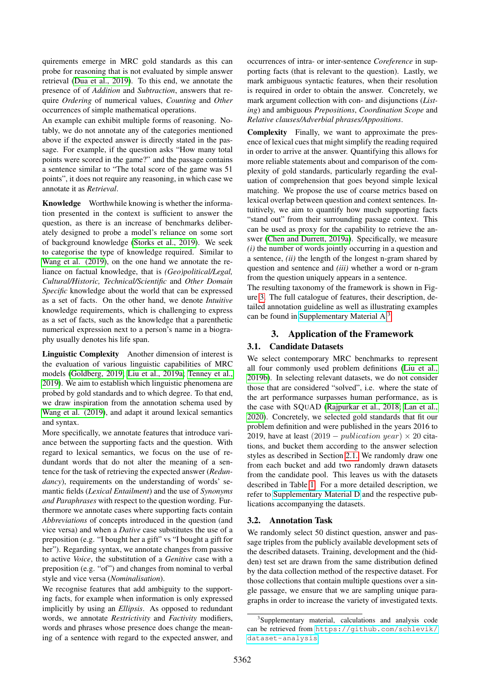quirements emerge in MRC gold standards as this can probe for reasoning that is not evaluated by simple answer retrieval [\(Dua et al., 2019\)](#page-8-12). To this end, we annotate the presence of of *Addition* and *Subtraction*, answers that require *Ordering* of numerical values, *Counting* and *Other* occurrences of simple mathematical operations.

An example can exhibit multiple forms of reasoning. Notably, we do not annotate any of the categories mentioned above if the expected answer is directly stated in the passage. For example, if the question asks "How many total points were scored in the game?" and the passage contains a sentence similar to "The total score of the game was 51 points", it does not require any reasoning, in which case we annotate it as *Retrieval*.

Knowledge Worthwhile knowing is whether the information presented in the context is sufficient to answer the question, as there is an increase of benchmarks deliberately designed to probe a model's reliance on some sort of background knowledge [\(Storks et al., 2019\)](#page-9-12). We seek to categorise the type of knowledge required. Similar to [Wang et al. \(2019\)](#page-9-11), on the one hand we annotate the reliance on factual knowledge, that is *(Geo)political/Legal, Cultural/Historic, Technical/Scientific* and *Other Domain Specific* knowledge about the world that can be expressed as a set of facts. On the other hand, we denote *Intuitive* knowledge requirements, which is challenging to express as a set of facts, such as the knowledge that a parenthetic numerical expression next to a person's name in a biography usually denotes his life span.

Linguistic Complexity Another dimension of interest is the evaluation of various linguistic capabilities of MRC models [\(Goldberg, 2019;](#page-8-13) [Liu et al., 2019a;](#page-8-14) [Tenney et al.,](#page-9-13) [2019\)](#page-9-13). We aim to establish which linguistic phenomena are probed by gold standards and to which degree. To that end, we draw inspiration from the annotation schema used by [Wang et al. \(2019\)](#page-9-11), and adapt it around lexical semantics and syntax.

More specifically, we annotate features that introduce variance between the supporting facts and the question. With regard to lexical semantics, we focus on the use of redundant words that do not alter the meaning of a sentence for the task of retrieving the expected answer (*Redundancy*), requirements on the understanding of words' semantic fields (*Lexical Entailment*) and the use of *Synonyms and Paraphrases* with respect to the question wording. Furthermore we annotate cases where supporting facts contain *Abbreviations* of concepts introduced in the question (and vice versa) and when a *Dative* case substitutes the use of a preposition (e.g. "I bought her a gift" vs "I bought a gift for her"). Regarding syntax, we annotate changes from passive to active *Voice*, the substitution of a *Genitive* case with a preposition (e.g. "of") and changes from nominal to verbal style and vice versa (*Nominalisation*).

We recognise features that add ambiguity to the supporting facts, for example when information is only expressed implicitly by using an *Ellipsis*. As opposed to redundant words, we annotate *Restrictivity* and *Factivity* modifiers, words and phrases whose presence does change the meaning of a sentence with regard to the expected answer, and occurrences of intra- or inter-sentence *Coreference* in supporting facts (that is relevant to the question). Lastly, we mark ambiguous syntactic features, when their resolution is required in order to obtain the answer. Concretely, we mark argument collection with con- and disjunctions (*Listing*) and ambiguous *Prepositions*, *Coordination Scope* and *Relative clauses/Adverbial phrases/Appositions*.

Complexity Finally, we want to approximate the presence of lexical cues that might simplify the reading required in order to arrive at the answer. Quantifying this allows for more reliable statements about and comparison of the complexity of gold standards, particularly regarding the evaluation of comprehension that goes beyond simple lexical matching. We propose the use of coarse metrics based on lexical overlap between question and context sentences. Intuitively, we aim to quantify how much supporting facts "stand out" from their surrounding passage context. This can be used as proxy for the capability to retrieve the answer [\(Chen and Durrett, 2019a\)](#page-8-5). Specifically, we measure *(i)* the number of words jointly occurring in a question and a sentence, *(ii)* the length of the longest n-gram shared by question and sentence and *(iii)* whether a word or n-gram from the question uniquely appears in a sentence.

The resulting taxonomy of the framework is shown in Figure [3.](#page-2-0) The full catalogue of features, their description, detailed annotation guideline as well as illustrating examples can be found in [Supplementary Material A.](https://github.com/schlevik/dataset-analysis/raw/master/Appendix%20A%20%20Annotation%20Schema.pdf)[3](#page-3-0)

# 3. Application of the Framework

# 3.1. Candidate Datasets

We select contemporary MRC benchmarks to represent all four commonly used problem definitions [\(Liu et al.,](#page-9-7) [2019b\)](#page-9-7). In selecting relevant datasets, we do not consider those that are considered "solved", i.e. where the state of the art performance surpasses human performance, as is the case with SQUAD [\(Rajpurkar et al., 2018;](#page-9-14) [Lan et al.,](#page-8-2) [2020\)](#page-8-2). Concretely, we selected gold standards that fit our problem definition and were published in the years 2016 to 2019, have at least  $(2019 - publication year) \times 20$  citations, and bucket them according to the answer selection styles as described in Section [2.1.](#page-1-1) We randomly draw one from each bucket and add two randomly drawn datasets from the candidate pool. This leaves us with the datasets described in Table [1.](#page-4-0) For a more detailed description, we refer to [Supplementary Material D](https://github.com/schlevik/dataset-analysis/raw/master/Appendix%20D%20Description%20of%20selected%20gold%20standards.pdf) and the respective publications accompanying the datasets.

# 3.2. Annotation Task

We randomly select 50 distinct question, answer and passage triples from the publicly available development sets of the described datasets. Training, development and the (hidden) test set are drawn from the same distribution defined by the data collection method of the respective dataset. For those collections that contain multiple questions over a single passage, we ensure that we are sampling unique paragraphs in order to increase the variety of investigated texts.

<span id="page-3-0"></span><sup>&</sup>lt;sup>3</sup>Supplementary material, calculations and analysis code can be retrieved from [https://github.com/schlevik/](https://github.com/schlevik/dataset-analysis) [dataset-analysis](https://github.com/schlevik/dataset-analysis)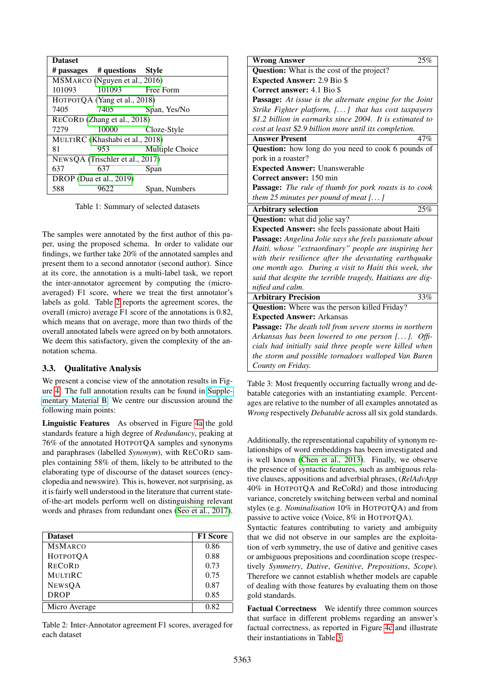<span id="page-4-0"></span>

| <b>Dataset</b>                  |                                 |                 |  |  |  |
|---------------------------------|---------------------------------|-----------------|--|--|--|
|                                 |                                 |                 |  |  |  |
| MSMARCO (Nguyen et al., 2016)   |                                 |                 |  |  |  |
| 101093                          | 101093 Free Form                |                 |  |  |  |
| HOTPOTQA (Yang et al., 2018)    |                                 |                 |  |  |  |
| 7405                            | 7405                            | Span, Yes/No    |  |  |  |
|                                 | RECORD (Zhang et al., 2018)     |                 |  |  |  |
| 7279                            | 10000                           | Cloze-Style     |  |  |  |
|                                 | MULTIRC (Khashabi et al., 2018) |                 |  |  |  |
| 81                              | 953                             | Multiple Choice |  |  |  |
| NEWSQA (Trischler et al., 2017) |                                 |                 |  |  |  |
| 637                             | 637                             | Span            |  |  |  |
| DROP (Dua et al., 2019)         |                                 |                 |  |  |  |
| 588                             | 9622                            | Span, Numbers   |  |  |  |

Table 1: Summary of selected datasets

The samples were annotated by the first author of this paper, using the proposed schema. In order to validate our findings, we further take 20% of the annotated samples and present them to a second annotator (second author). Since at its core, the annotation is a multi-label task, we report the inter-annotator agreement by computing the (microaveraged) F1 score, where we treat the first annotator's labels as gold. Table [2](#page-4-1) reports the agreement scores, the overall (micro) average F1 score of the annotations is 0.82, which means that on average, more than two thirds of the overall annotated labels were agreed on by both annotators. We deem this satisfactory, given the complexity of the annotation schema.

#### 3.3. Qualitative Analysis

We present a concise view of the annotation results in Figure [4.](#page-5-0) The full annotation results can be found in [Supple](https://github.com/schlevik/dataset-analysis/raw/master/Appendix%20B%20Detailed%20annotation%20results.pdf)[mentary Material B.](https://github.com/schlevik/dataset-analysis/raw/master/Appendix%20B%20Detailed%20annotation%20results.pdf) We centre our discussion around the following main points:

Linguistic Features As observed in Figure [4a](#page-5-0) the gold standards feature a high degree of *Redundancy*, peaking at 76% of the annotated HOTPOTQA samples and synonyms and paraphrases (labelled *Synonym*), with RECORD samples containing 58% of them, likely to be attributed to the elaborating type of discourse of the dataset sources (encyclopedia and newswire). This is, however, not surprising, as it is fairly well understood in the literature that current stateof-the-art models perform well on distinguishing relevant words and phrases from redundant ones [\(Seo et al., 2017\)](#page-9-16).

<span id="page-4-1"></span>

| <b>Dataset</b>  | <b>F1 Score</b> |
|-----------------|-----------------|
| <b>MSMARCO</b>  | 0.86            |
| <b>НОТРОТОА</b> | 0.88            |
| <b>RECORD</b>   | 0.73            |
| <b>MULTIRC</b>  | 0.75            |
| <b>NEWSOA</b>   | 0.87            |
| <b>DROP</b>     | 0.85            |
| Micro Average   | 0.82            |

Table 2: Inter-Annotator agreement F1 scores, averaged for each dataset

<span id="page-4-2"></span>

| 25%<br><b>Wrong Answer</b>                                     |  |  |  |  |
|----------------------------------------------------------------|--|--|--|--|
| <b>Question:</b> What is the cost of the project?              |  |  |  |  |
| <b>Expected Answer: 2.9 Bio \$</b>                             |  |  |  |  |
| <b>Correct answer: 4.1 Bio \$</b>                              |  |  |  |  |
| <b>Passage:</b> At issue is the alternate engine for the Joint |  |  |  |  |
| Strike Fighter platform, [] that has cost taxpayers            |  |  |  |  |
| \$1.2 billion in earmarks since 2004. It is estimated to       |  |  |  |  |
| cost at least \$2.9 billion more until its completion.         |  |  |  |  |
| <b>Answer Present</b><br>47%                                   |  |  |  |  |
| <b>Question:</b> how long do you need to cook 6 pounds of      |  |  |  |  |
| pork in a roaster?                                             |  |  |  |  |
| <b>Expected Answer: Unanswerable</b>                           |  |  |  |  |
| Correct answer: 150 min                                        |  |  |  |  |
| Passage: The rule of thumb for pork roasts is to cook          |  |  |  |  |
| them 25 minutes per pound of meat $[]$                         |  |  |  |  |
| 25%<br><b>Arbitrary selection</b>                              |  |  |  |  |
| <b>Question:</b> what did jolie say?                           |  |  |  |  |
| <b>Expected Answer:</b> she feels passionate about Haiti       |  |  |  |  |
| Passage: Angelina Jolie says she feels passionate about        |  |  |  |  |
| Haiti, whose "extraordinary" people are inspiring her          |  |  |  |  |
| with their resilience after the devastating earthquake         |  |  |  |  |
| one month ago. During a visit to Haiti this week, she          |  |  |  |  |
| said that despite the terrible tragedy, Haitians are dig-      |  |  |  |  |
| nified and calm.                                               |  |  |  |  |
| <b>Arbitrary Precision</b><br>33%                              |  |  |  |  |
| <b>Question:</b> Where was the person killed Friday?           |  |  |  |  |
| <b>Expected Answer: Arkansas</b>                               |  |  |  |  |
| Passage: The death toll from severe storms in northern         |  |  |  |  |
| Arkansas has been lowered to one person $[]$ . Offi-           |  |  |  |  |
| cials had initially said three people were killed when         |  |  |  |  |
| the storm and possible tornadoes walloped Van Buren            |  |  |  |  |
| County on Friday.                                              |  |  |  |  |

Table 3: Most frequently occurring factually wrong and debatable categories with an instantiating example. Percentages are relative to the number of all examples annotated as *Wrong* respectively *Debatable* across all six gold standards.

Additionally, the representational capability of synonym relationships of word embeddings has been investigated and is well known [\(Chen et al., 2013\)](#page-8-16). Finally, we observe the presence of syntactic features, such as ambiguous relative clauses, appositions and adverbial phrases, (*RelAdvApp* 40% in HOTPOTQA and ReCoRd) and those introducing variance, concretely switching between verbal and nominal styles (e.g. *Nominalisation* 10% in HOTPOTQA) and from passive to active voice (Voice, 8% in HOTPOTQA).

Syntactic features contributing to variety and ambiguity that we did not observe in our samples are the exploitation of verb symmetry, the use of dative and genitive cases or ambiguous prepositions and coordination scope (respectively *Symmetry*, *Dative*, *Genitive*, *Prepositions*, *Scope*). Therefore we cannot establish whether models are capable of dealing with those features by evaluating them on those gold standards.

Factual Correctness We identify three common sources that surface in different problems regarding an answer's factual correctness, as reported in Figure [4c](#page-5-0) and illustrate their instantiations in Table [3:](#page-4-2)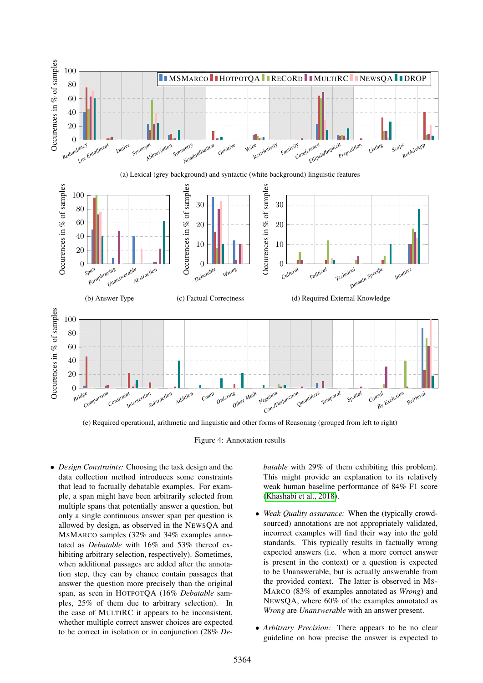<span id="page-5-0"></span>

(e) Required operational, arithmetic and linguistic and other forms of Reasoning (grouped from left to right)

Figure 4: Annotation results

• *Design Constraints:* Choosing the task design and the data collection method introduces some constraints that lead to factually debatable examples. For example, a span might have been arbitrarily selected from multiple spans that potentially answer a question, but only a single continuous answer span per question is allowed by design, as observed in the NEWSQA and MSMARCO samples (32% and 34% examples annotated as *Debatable* with 16% and 53% thereof exhibiting arbitrary selection, respectively). Sometimes, when additional passages are added after the annotation step, they can by chance contain passages that answer the question more precisely than the original span, as seen in HOTPOTQA (16% *Debatable* samples, 25% of them due to arbitrary selection). In the case of MULTIRC it appears to be inconsistent, whether multiple correct answer choices are expected to be correct in isolation or in conjunction (28% *De-* *batable* with 29% of them exhibiting this problem). This might provide an explanation to its relatively weak human baseline performance of 84% F1 score [\(Khashabi et al., 2018\)](#page-8-15).

- *Weak Quality assurance:* When the (typically crowdsourced) annotations are not appropriately validated, incorrect examples will find their way into the gold standards. This typically results in factually wrong expected answers (i.e. when a more correct answer is present in the context) or a question is expected to be Unanswerable, but is actually answerable from the provided context. The latter is observed in MS-MARCO (83% of examples annotated as *Wrong*) and NEWSQA, where 60% of the examples annotated as *Wrong* are *Unanswerable* with an answer present.
- *Arbitrary Precision:* There appears to be no clear guideline on how precise the answer is expected to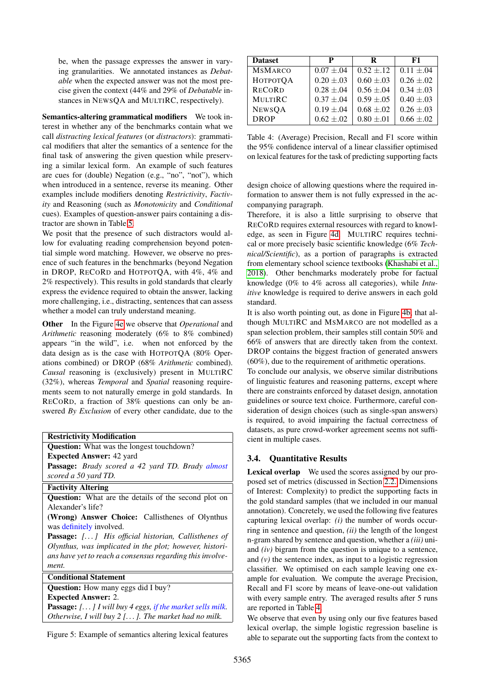be, when the passage expresses the answer in varying granularities. We annotated instances as *Debatable* when the expected answer was not the most precise given the context (44% and 29% of *Debatable* instances in NEWSQA and MULTIRC, respectively).

Semantics-altering grammatical modifiers We took interest in whether any of the benchmarks contain what we call *distracting lexical features* (or *distractors*): grammatical modifiers that alter the semantics of a sentence for the final task of answering the given question while preserving a similar lexical form. An example of such features are cues for (double) Negation (e.g., "no", "not"), which when introduced in a sentence, reverse its meaning. Other examples include modifiers denoting *Restrictivity*, *Factivity* and Reasoning (such as *Monotonicity* and *Conditional* cues). Examples of question-answer pairs containing a distractor are shown in Table [5.](#page-6-0)

We posit that the presence of such distractors would allow for evaluating reading comprehension beyond potential simple word matching. However, we observe no presence of such features in the benchmarks (beyond Negation in DROP, RECORD and HOTPOTQA, with 4%, 4% and 2% respectively). This results in gold standards that clearly express the evidence required to obtain the answer, lacking more challenging, i.e., distracting, sentences that can assess whether a model can truly understand meaning.

Other In the Figure [4e](#page-5-0) we observe that *Operational* and *Arithmetic* reasoning moderately (6% to 8% combined) appears "in the wild", i.e. when not enforced by the data design as is the case with HOTPOTQA (80% Operations combined) or DROP (68% *Arithmetic* combined). *Causal* reasoning is (exclusively) present in MULTIRC (32%), whereas *Temporal* and *Spatial* reasoning requirements seem to not naturally emerge in gold standards. In RECORD, a fraction of 38% questions can only be answered *By Exclusion* of every other candidate, due to the

<span id="page-6-0"></span>

| <b>Restrictivity Modification</b>                                 |  |  |  |  |
|-------------------------------------------------------------------|--|--|--|--|
| <b>Question:</b> What was the longest touchdown?                  |  |  |  |  |
| <b>Expected Answer: 42 yard</b>                                   |  |  |  |  |
| Passage: Brady scored a 42 yard TD. Brady almost                  |  |  |  |  |
| scored a 50 yard TD.                                              |  |  |  |  |
| <b>Factivity Altering</b>                                         |  |  |  |  |
| <b>Question:</b> What are the details of the second plot on       |  |  |  |  |
| Alexander's life?                                                 |  |  |  |  |
| (Wrong) Answer Choice: Callisthenes of Olynthus                   |  |  |  |  |
| was definitely involved.                                          |  |  |  |  |
| <b>Passage:</b> [] His official historian, Callisthenes of        |  |  |  |  |
| Olynthus, was implicated in the plot; however, histori-           |  |  |  |  |
| ans have yet to reach a consensus regarding this involve-         |  |  |  |  |
| ment.                                                             |  |  |  |  |
| <b>Conditional Statement</b>                                      |  |  |  |  |
| <b>Question:</b> How many eggs did I buy?                         |  |  |  |  |
| <b>Expected Answer: 2.</b>                                        |  |  |  |  |
| <b>Passage:</b> $[]$ I will buy 4 eggs, if the market sells milk. |  |  |  |  |
|                                                                   |  |  |  |  |

*Otherwise, I will buy 2 [. . . ]. The market had no milk.*

Figure 5: Example of semantics altering lexical features

<span id="page-6-1"></span>

| <b>Dataset</b>  | P               | R               | F1              |
|-----------------|-----------------|-----------------|-----------------|
| <b>MSMARCO</b>  | $0.07 \pm .04$  | $0.52 \pm .12$  | $0.11 \pm .04$  |
| <b>НОТРОТОА</b> | $0.20 \pm .03$  | $0.60 \pm .03$  | $0.26 \pm 0.02$ |
| <b>RECORD</b>   | $0.28 \pm 0.04$ | $0.56 \pm .04$  | $0.34 \pm .03$  |
| <b>MULTIRC</b>  | $0.37 \pm .04$  | $0.59 \pm .05$  | $0.40 \pm .03$  |
| <b>NEWSQA</b>   | $0.19 \pm .04$  | $0.68 \pm 0.02$ | $0.26 \pm .03$  |
| <b>DROP</b>     | $0.62 \pm .02$  | $0.80 \pm .01$  | $0.66 \pm 0.02$ |

Table 4: (Average) Precision, Recall and F1 score within the 95% confidence interval of a linear classifier optimised on lexical features for the task of predicting supporting facts

design choice of allowing questions where the required information to answer them is not fully expressed in the accompanying paragraph.

Therefore, it is also a little surprising to observe that RECORD requires external resources with regard to knowledge, as seen in Figure [4d.](#page-5-0) MULTIRC requires technical or more precisely basic scientific knowledge (6% *Technical/Scientific*), as a portion of paragraphs is extracted from elementary school science textbooks [\(Khashabi et al.,](#page-8-15) [2018\)](#page-8-15). Other benchmarks moderately probe for factual knowledge (0% to 4% across all categories), while *Intuitive* knowledge is required to derive answers in each gold standard.

It is also worth pointing out, as done in Figure [4b,](#page-5-0) that although MULTIRC and MSMARCO are not modelled as a span selection problem, their samples still contain 50% and 66% of answers that are directly taken from the context. DROP contains the biggest fraction of generated answers (60%), due to the requirement of arithmetic operations.

To conclude our analysis, we observe similar distributions of linguistic features and reasoning patterns, except where there are constraints enforced by dataset design, annotation guidelines or source text choice. Furthermore, careful consideration of design choices (such as single-span answers) is required, to avoid impairing the factual correctness of atasets, as pure crowd-worker agreement seems not suffient in multiple cases.

# 3.4. Quantitative Results

exical overlap We used the scores assigned by our proposed set of metrics (discussed in Section [2.2.](#page-1-2) Dimensions Interest: Complexity) to predict the supporting facts in e gold standard samples (that we included in our manual annotation). Concretely, we used the following five features pturing lexical overlap:  $(i)$  the number of words occurring in sentence and question,  $(ii)$  the length of the longest n-gram shared by sentence and question, whether a *(iii)* uniand *(iv)* bigram from the question is unique to a sentence, and  $(v)$  the sentence index, as input to a logistic regression assifier. We optimised on each sample leaving one example for evaluation. We compute the average Precision, ecall and F1 score by means of leave-one-out validation ith every sample entry. The averaged results after 5 runs e reported in Table [4.](#page-6-1)

We observe that even by using only our five features based lexical overlap, the simple logistic regression baseline is able to separate out the supporting facts from the context to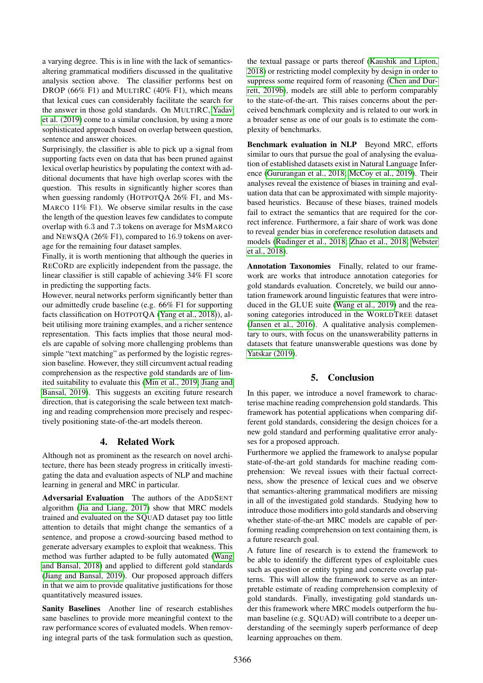a varying degree. This is in line with the lack of semanticsaltering grammatical modifiers discussed in the qualitative analysis section above. The classifier performs best on DROP (66% F1) and MULTIRC (40% F1), which means that lexical cues can considerably facilitate the search for the answer in those gold standards. On MULTIRC, [Yadav](#page-9-17) [et al. \(2019\)](#page-9-17) come to a similar conclusion, by using a more sophisticated approach based on overlap between question, sentence and answer choices.

Surprisingly, the classifier is able to pick up a signal from supporting facts even on data that has been pruned against lexical overlap heuristics by populating the context with additional documents that have high overlap scores with the question. This results in significantly higher scores than when guessing randomly (HOTPOTQA 26% F1, and MS-MARCO 11% F1). We observe similar results in the case the length of the question leaves few candidates to compute overlap with 6.3 and 7.3 tokens on average for MSMARCO and NEWSQA (26% F1), compared to 16.9 tokens on average for the remaining four dataset samples.

Finally, it is worth mentioning that although the queries in RECORD are explicitly independent from the passage, the linear classifier is still capable of achieving 34% F1 score in predicting the supporting facts.

However, neural networks perform significantly better than our admittedly crude baseline (e.g. 66% F1 for supporting facts classification on HOTPOTQA [\(Yang et al., 2018\)](#page-9-6)), albeit utilising more training examples, and a richer sentence representation. This facts implies that those neural models are capable of solving more challenging problems than simple "text matching" as performed by the logistic regression baseline. However, they still circumvent actual reading comprehension as the respective gold standards are of limited suitability to evaluate this [\(Min et al., 2019;](#page-9-18) [Jiang and](#page-8-17) [Bansal, 2019\)](#page-8-17). This suggests an exciting future research direction, that is categorising the scale between text matching and reading comprehension more precisely and respectively positioning state-of-the-art models thereon.

#### 4. Related Work

Although not as prominent as the research on novel architecture, there has been steady progress in critically investigating the data and evaluation aspects of NLP and machine learning in general and MRC in particular.

Adversarial Evaluation The authors of the ADDSENT algorithm [\(Jia and Liang, 2017\)](#page-8-6) show that MRC models trained and evaluated on the SQUAD dataset pay too little attention to details that might change the semantics of a sentence, and propose a crowd-sourcing based method to generate adversary examples to exploit that weakness. This method was further adapted to be fully automated [\(Wang](#page-9-19) [and Bansal, 2018\)](#page-9-19) and applied to different gold standards [\(Jiang and Bansal, 2019\)](#page-8-17). Our proposed approach differs in that we aim to provide qualitative justifications for those quantitatively measured issues.

Sanity Baselines Another line of research establishes sane baselines to provide more meaningful context to the raw performance scores of evaluated models. When removing integral parts of the task formulation such as question, the textual passage or parts thereof [\(Kaushik and Lipton,](#page-8-18) [2018\)](#page-8-18) or restricting model complexity by design in order to suppress some required form of reasoning [\(Chen and Dur](#page-8-19)[rett, 2019b\)](#page-8-19), models are still able to perform comparably to the state-of-the-art. This raises concerns about the perceived benchmark complexity and is related to our work in a broader sense as one of our goals is to estimate the complexity of benchmarks.

Benchmark evaluation in NLP Beyond MRC, efforts similar to ours that pursue the goal of analysing the evaluation of established datasets exist in Natural Language Inference [\(Gururangan et al., 2018;](#page-8-7) [McCoy et al., 2019\)](#page-9-5). Their analyses reveal the existence of biases in training and evaluation data that can be approximated with simple majoritybased heuristics. Because of these biases, trained models fail to extract the semantics that are required for the correct inference. Furthermore, a fair share of work was done to reveal gender bias in coreference resolution datasets and models [\(Rudinger et al., 2018;](#page-9-20) [Zhao et al., 2018;](#page-10-2) [Webster](#page-9-21) [et al., 2018\)](#page-9-21).

Annotation Taxonomies Finally, related to our framework are works that introduce annotation categories for gold standards evaluation. Concretely, we build our annotation framework around linguistic features that were introduced in the GLUE suite [\(Wang et al., 2019\)](#page-9-11) and the reasoning categories introduced in the WORLDTREE dataset [\(Jansen et al., 2016\)](#page-8-9). A qualitative analysis complementary to ours, with focus on the unanswerability patterns in datasets that feature unanswerable questions was done by [Yatskar \(2019\)](#page-10-0).

# 5. Conclusion

In this paper, we introduce a novel framework to characterise machine reading comprehension gold standards. This framework has potential applications when comparing different gold standards, considering the design choices for a new gold standard and performing qualitative error analyses for a proposed approach.

Furthermore we applied the framework to analyse popular state-of-the-art gold standards for machine reading comprehension: We reveal issues with their factual correctness, show the presence of lexical cues and we observe that semantics-altering grammatical modifiers are missing in all of the investigated gold standards. Studying how to introduce those modifiers into gold standards and observing whether state-of-the-art MRC models are capable of performing reading comprehension on text containing them, is a future research goal.

A future line of research is to extend the framework to be able to identify the different types of exploitable cues such as question or entity typing and concrete overlap patterns. This will allow the framework to serve as an interpretable estimate of reading comprehension complexity of gold standards. Finally, investigating gold standards under this framework where MRC models outperform the human baseline (e.g. SQUAD) will contribute to a deeper understanding of the seemingly superb performance of deep learning approaches on them.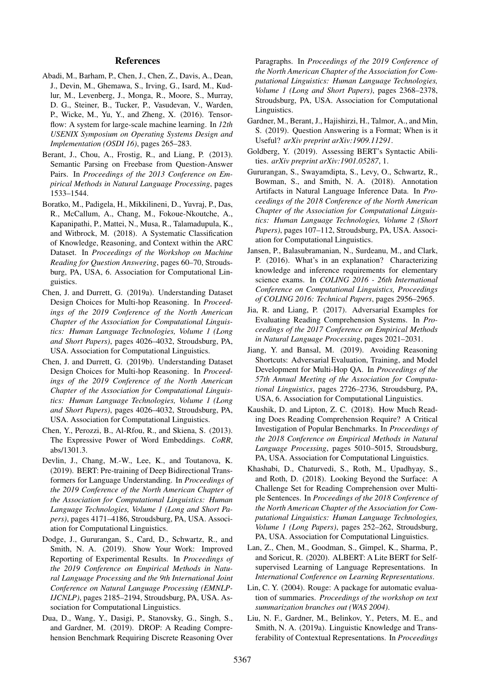#### References

- <span id="page-8-0"></span>Abadi, M., Barham, P., Chen, J., Chen, Z., Davis, A., Dean, J., Devin, M., Ghemawa, S., Irving, G., Isard, M., Kudlur, M., Levenberg, J., Monga, R., Moore, S., Murray, D. G., Steiner, B., Tucker, P., Vasudevan, V., Warden, P., Wicke, M., Yu, Y., and Zheng, X. (2016). Tensorflow: A system for large-scale machine learning. In *12th USENIX Symposium on Operating Systems Design and Implementation (OSDI 16)*, pages 265–283.
- <span id="page-8-11"></span>Berant, J., Chou, A., Frostig, R., and Liang, P. (2013). Semantic Parsing on Freebase from Question-Answer Pairs. In *Proceedings of the 2013 Conference on Empirical Methods in Natural Language Processing*, pages 1533–1544.
- <span id="page-8-10"></span>Boratko, M., Padigela, H., Mikkilineni, D., Yuvraj, P., Das, R., McCallum, A., Chang, M., Fokoue-Nkoutche, A., Kapanipathi, P., Mattei, N., Musa, R., Talamadupula, K., and Witbrock, M. (2018). A Systematic Classification of Knowledge, Reasoning, and Context within the ARC Dataset. In *Proceedings of the Workshop on Machine Reading for Question Answering*, pages 60–70, Stroudsburg, PA, USA, 6. Association for Computational Linguistics.
- <span id="page-8-5"></span>Chen, J. and Durrett, G. (2019a). Understanding Dataset Design Choices for Multi-hop Reasoning. In *Proceedings of the 2019 Conference of the North American Chapter of the Association for Computational Linguistics: Human Language Technologies, Volume 1 (Long and Short Papers)*, pages 4026–4032, Stroudsburg, PA, USA. Association for Computational Linguistics.
- <span id="page-8-19"></span>Chen, J. and Durrett, G. (2019b). Understanding Dataset Design Choices for Multi-hop Reasoning. In *Proceedings of the 2019 Conference of the North American Chapter of the Association for Computational Linguistics: Human Language Technologies, Volume 1 (Long and Short Papers)*, pages 4026–4032, Stroudsburg, PA, USA. Association for Computational Linguistics.
- <span id="page-8-16"></span>Chen, Y., Perozzi, B., Al-Rfou, R., and Skiena, S. (2013). The Expressive Power of Word Embeddings. *CoRR*, abs/1301.3.
- <span id="page-8-1"></span>Devlin, J., Chang, M.-W., Lee, K., and Toutanova, K. (2019). BERT: Pre-training of Deep Bidirectional Transformers for Language Understanding. In *Proceedings of the 2019 Conference of the North American Chapter of the Association for Computational Linguistics: Human Language Technologies, Volume 1 (Long and Short Papers)*, pages 4171–4186, Stroudsburg, PA, USA. Association for Computational Linguistics.
- <span id="page-8-4"></span>Dodge, J., Gururangan, S., Card, D., Schwartz, R., and Smith, N. A. (2019). Show Your Work: Improved Reporting of Experimental Results. In *Proceedings of the 2019 Conference on Empirical Methods in Natural Language Processing and the 9th International Joint Conference on Natural Language Processing (EMNLP-IJCNLP)*, pages 2185–2194, Stroudsburg, PA, USA. Association for Computational Linguistics.
- <span id="page-8-12"></span>Dua, D., Wang, Y., Dasigi, P., Stanovsky, G., Singh, S., and Gardner, M. (2019). DROP: A Reading Comprehension Benchmark Requiring Discrete Reasoning Over

Paragraphs. In *Proceedings of the 2019 Conference of the North American Chapter of the Association for Computational Linguistics: Human Language Technologies, Volume 1 (Long and Short Papers)*, pages 2368–2378, Stroudsburg, PA, USA. Association for Computational Linguistics.

- <span id="page-8-3"></span>Gardner, M., Berant, J., Hajishirzi, H., Talmor, A., and Min, S. (2019). Question Answering is a Format; When is it Useful? *arXiv preprint arXiv:1909.11291*.
- <span id="page-8-13"></span>Goldberg, Y. (2019). Assessing BERT's Syntactic Abilities. *arXiv preprint arXiv:1901.05287*, 1.
- <span id="page-8-7"></span>Gururangan, S., Swayamdipta, S., Levy, O., Schwartz, R., Bowman, S., and Smith, N. A. (2018). Annotation Artifacts in Natural Language Inference Data. In *Proceedings of the 2018 Conference of the North American Chapter of the Association for Computational Linguistics: Human Language Technologies, Volume 2 (Short Papers)*, pages 107–112, Stroudsburg, PA, USA. Association for Computational Linguistics.
- <span id="page-8-9"></span>Jansen, P., Balasubramanian, N., Surdeanu, M., and Clark, P. (2016). What's in an explanation? Characterizing knowledge and inference requirements for elementary science exams. In *COLING 2016 - 26th International Conference on Computational Linguistics, Proceedings of COLING 2016: Technical Papers*, pages 2956–2965.
- <span id="page-8-6"></span>Jia, R. and Liang, P. (2017). Adversarial Examples for Evaluating Reading Comprehension Systems. In *Proceedings of the 2017 Conference on Empirical Methods in Natural Language Processing*, pages 2021–2031.
- <span id="page-8-17"></span>Jiang, Y. and Bansal, M. (2019). Avoiding Reasoning Shortcuts: Adversarial Evaluation, Training, and Model Development for Multi-Hop QA. In *Proceedings of the 57th Annual Meeting of the Association for Computational Linguistics*, pages 2726–2736, Stroudsburg, PA, USA, 6. Association for Computational Linguistics.
- <span id="page-8-18"></span>Kaushik, D. and Lipton, Z. C. (2018). How Much Reading Does Reading Comprehension Require? A Critical Investigation of Popular Benchmarks. In *Proceedings of the 2018 Conference on Empirical Methods in Natural Language Processing*, pages 5010–5015, Stroudsburg, PA, USA. Association for Computational Linguistics.
- <span id="page-8-15"></span>Khashabi, D., Chaturvedi, S., Roth, M., Upadhyay, S., and Roth, D. (2018). Looking Beyond the Surface: A Challenge Set for Reading Comprehension over Multiple Sentences. In *Proceedings of the 2018 Conference of the North American Chapter of the Association for Computational Linguistics: Human Language Technologies, Volume 1 (Long Papers)*, pages 252–262, Stroudsburg, PA, USA. Association for Computational Linguistics.
- <span id="page-8-2"></span>Lan, Z., Chen, M., Goodman, S., Gimpel, K., Sharma, P., and Soricut, R. (2020). ALBERT: A Lite BERT for Selfsupervised Learning of Language Representations. In *International Conference on Learning Representations*.
- <span id="page-8-8"></span>Lin, C. Y. (2004). Rouge: A package for automatic evaluation of summaries. *Proceedings of the workshop on text summarization branches out (WAS 2004)*.
- <span id="page-8-14"></span>Liu, N. F., Gardner, M., Belinkov, Y., Peters, M. E., and Smith, N. A. (2019a). Linguistic Knowledge and Transferability of Contextual Representations. In *Proceedings*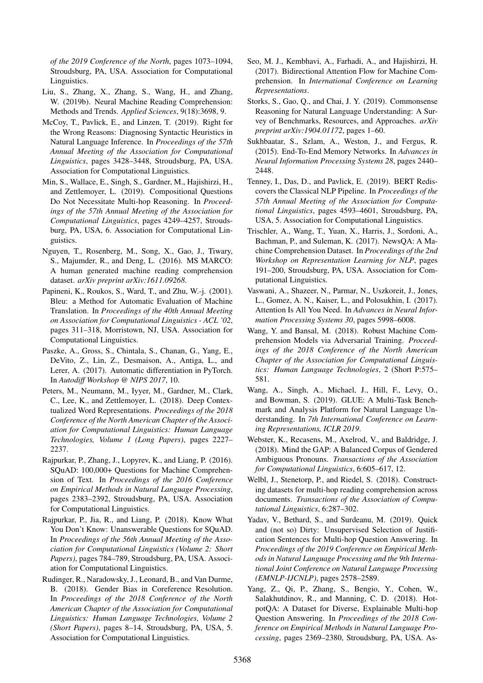*of the 2019 Conference of the North*, pages 1073–1094, Stroudsburg, PA, USA. Association for Computational Linguistics.

- <span id="page-9-7"></span>Liu, S., Zhang, X., Zhang, S., Wang, H., and Zhang, W. (2019b). Neural Machine Reading Comprehension: Methods and Trends. *Applied Sciences*, 9(18):3698, 9.
- <span id="page-9-5"></span>McCoy, T., Pavlick, E., and Linzen, T. (2019). Right for the Wrong Reasons: Diagnosing Syntactic Heuristics in Natural Language Inference. In *Proceedings of the 57th Annual Meeting of the Association for Computational Linguistics*, pages 3428–3448, Stroudsburg, PA, USA. Association for Computational Linguistics.
- <span id="page-9-18"></span>Min, S., Wallace, E., Singh, S., Gardner, M., Hajishirzi, H., and Zettlemoyer, L. (2019). Compositional Questions Do Not Necessitate Multi-hop Reasoning. In *Proceedings of the 57th Annual Meeting of the Association for Computational Linguistics*, pages 4249–4257, Stroudsburg, PA, USA, 6. Association for Computational Linguistics.
- <span id="page-9-15"></span>Nguyen, T., Rosenberg, M., Song, X., Gao, J., Tiwary, S., Majumder, R., and Deng, L. (2016). MS MARCO: A human generated machine reading comprehension dataset. *arXiv preprint arXiv:1611.09268*.
- <span id="page-9-8"></span>Papineni, K., Roukos, S., Ward, T., and Zhu, W.-j. (2001). Bleu: a Method for Automatic Evaluation of Machine Translation. In *Proceedings of the 40th Annual Meeting on Association for Computational Linguistics - ACL '02*, pages 311–318, Morristown, NJ, USA. Association for Computational Linguistics.
- <span id="page-9-2"></span>Paszke, A., Gross, S., Chintala, S., Chanan, G., Yang, E., DeVito, Z., Lin, Z., Desmaison, A., Antiga, L., and Lerer, A. (2017). Automatic differentiation in PyTorch. In *Autodiff Workshop @ NIPS 2017*, 10.
- <span id="page-9-3"></span>Peters, M., Neumann, M., Iyyer, M., Gardner, M., Clark, C., Lee, K., and Zettlemoyer, L. (2018). Deep Contextualized Word Representations. *Proceedings of the 2018 Conference of the North American Chapter of the Association for Computational Linguistics: Human Language Technologies, Volume 1 (Long Papers)*, pages 2227– 2237.
- <span id="page-9-4"></span>Rajpurkar, P., Zhang, J., Lopyrev, K., and Liang, P. (2016). SQuAD: 100,000+ Questions for Machine Comprehension of Text. In *Proceedings of the 2016 Conference on Empirical Methods in Natural Language Processing*, pages 2383–2392, Stroudsburg, PA, USA. Association for Computational Linguistics.
- <span id="page-9-14"></span>Rajpurkar, P., Jia, R., and Liang, P. (2018). Know What You Don't Know: Unanswerable Questions for SQuAD. In *Proceedings of the 56th Annual Meeting of the Association for Computational Linguistics (Volume 2: Short Papers)*, pages 784–789, Stroudsburg, PA, USA. Association for Computational Linguistics.
- <span id="page-9-20"></span>Rudinger, R., Naradowsky, J., Leonard, B., and Van Durme, B. (2018). Gender Bias in Coreference Resolution. In *Proceedings of the 2018 Conference of the North American Chapter of the Association for Computational Linguistics: Human Language Technologies, Volume 2 (Short Papers)*, pages 8–14, Stroudsburg, PA, USA, 5. Association for Computational Linguistics.
- <span id="page-9-16"></span>Seo, M. J., Kembhavi, A., Farhadi, A., and Hajishirzi, H. (2017). Bidirectional Attention Flow for Machine Comprehension. In *International Conference on Learning Representations*.
- <span id="page-9-12"></span>Storks, S., Gao, Q., and Chai, J. Y. (2019). Commonsense Reasoning for Natural Language Understanding: A Survey of Benchmarks, Resources, and Approaches. *arXiv preprint arXiv:1904.01172*, pages 1–60.
- <span id="page-9-1"></span>Sukhbaatar, S., Szlam, A., Weston, J., and Fergus, R. (2015). End-To-End Memory Networks. In *Advances in Neural Information Processing Systems 28*, pages 2440– 2448.
- <span id="page-9-13"></span>Tenney, I., Das, D., and Pavlick, E. (2019). BERT Rediscovers the Classical NLP Pipeline. In *Proceedings of the 57th Annual Meeting of the Association for Computational Linguistics*, pages 4593–4601, Stroudsburg, PA, USA, 5. Association for Computational Linguistics.
- <span id="page-9-9"></span>Trischler, A., Wang, T., Yuan, X., Harris, J., Sordoni, A., Bachman, P., and Suleman, K. (2017). NewsQA: A Machine Comprehension Dataset. In *Proceedings of the 2nd Workshop on Representation Learning for NLP*, pages 191–200, Stroudsburg, PA, USA. Association for Computational Linguistics.
- <span id="page-9-0"></span>Vaswani, A., Shazeer, N., Parmar, N., Uszkoreit, J., Jones, L., Gomez, A. N., Kaiser, L., and Polosukhin, I. (2017). Attention Is All You Need. In *Advances in Neural Information Processing Systems 30*, pages 5998–6008.
- <span id="page-9-19"></span>Wang, Y. and Bansal, M. (2018). Robust Machine Comprehension Models via Adversarial Training. *Proceedings of the 2018 Conference of the North American Chapter of the Association for Computational Linguistics: Human Language Technologies*, 2 (Short P:575– 581.
- <span id="page-9-11"></span>Wang, A., Singh, A., Michael, J., Hill, F., Levy, O., and Bowman, S. (2019). GLUE: A Multi-Task Benchmark and Analysis Platform for Natural Language Understanding. In *7th International Conference on Learning Representations, ICLR 2019*.
- <span id="page-9-21"></span>Webster, K., Recasens, M., Axelrod, V., and Baldridge, J. (2018). Mind the GAP: A Balanced Corpus of Gendered Ambiguous Pronouns. *Transactions of the Association for Computational Linguistics*, 6:605–617, 12.
- <span id="page-9-10"></span>Welbl, J., Stenetorp, P., and Riedel, S. (2018). Constructing datasets for multi-hop reading comprehension across documents. *Transactions of the Association of Computational Linguistics*, 6:287–302.
- <span id="page-9-17"></span>Yadav, V., Bethard, S., and Surdeanu, M. (2019). Quick and (not so) Dirty: Unsupervised Selection of Justification Sentences for Multi-hop Question Answering. In *Proceedings of the 2019 Conference on Empirical Methods in Natural Language Processing and the 9th International Joint Conference on Natural Language Processing (EMNLP-IJCNLP)*, pages 2578–2589.
- <span id="page-9-6"></span>Yang, Z., Qi, P., Zhang, S., Bengio, Y., Cohen, W., Salakhutdinov, R., and Manning, C. D. (2018). HotpotQA: A Dataset for Diverse, Explainable Multi-hop Question Answering. In *Proceedings of the 2018 Conference on Empirical Methods in Natural Language Processing*, pages 2369–2380, Stroudsburg, PA, USA. As-